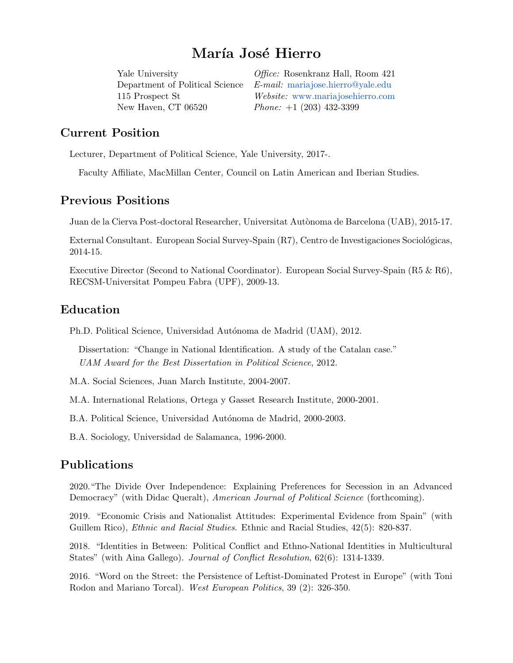# María José Hierro

New Haven, CT 06520 *Phone:* +1 (203) 432-3399

Yale University **Office:** Rosenkranz Hall, Room 421 Department of Political Science E-mail: [mariajose.hierro@yale.edu](mailto:mariajose.hierro@yale.edu) 115 Prospect St Website: <www.mariajosehierro.com>

# Current Position

Lecturer, Department of Political Science, Yale University, 2017-.

Faculty Affiliate, MacMillan Center, Council on Latin American and Iberian Studies.

# Previous Positions

Juan de la Cierva Post-doctoral Researcher, Universitat Autònoma de Barcelona (UAB), 2015-17.

External Consultant. European Social Survey-Spain (R7), Centro de Investigaciones Sociológicas, 2014-15.

Executive Director (Second to National Coordinator). European Social Survey-Spain (R5 & R6), RECSM-Universitat Pompeu Fabra (UPF), 2009-13.

# Education

Ph.D. Political Science, Universidad Autónoma de Madrid (UAM), 2012.

Dissertation: "Change in National Identification. A study of the Catalan case." UAM Award for the Best Dissertation in Political Science, 2012.

- M.A. Social Sciences, Juan March Institute, 2004-2007.
- M.A. International Relations, Ortega y Gasset Research Institute, 2000-2001.
- B.A. Political Science, Universidad Autónoma de Madrid, 2000-2003.

B.A. Sociology, Universidad de Salamanca, 1996-2000.

# Publications

2020."The Divide Over Independence: Explaining Preferences for Secession in an Advanced Democracy" (with Didac Queralt), American Journal of Political Science (forthcoming).

2019. "Economic Crisis and Nationalist Attitudes: Experimental Evidence from Spain" (with Guillem Rico), *Ethnic and Racial Studies*. Ethnic and Racial Studies, 42(5): 820-837.

2018. "Identities in Between: Political Conflict and Ethno-National Identities in Multicultural States" (with Aina Gallego). Journal of Conflict Resolution, 62(6): 1314-1339.

2016. "Word on the Street: the Persistence of Leftist-Dominated Protest in Europe" (with Toni Rodon and Mariano Torcal). West European Politics, 39 (2): 326-350.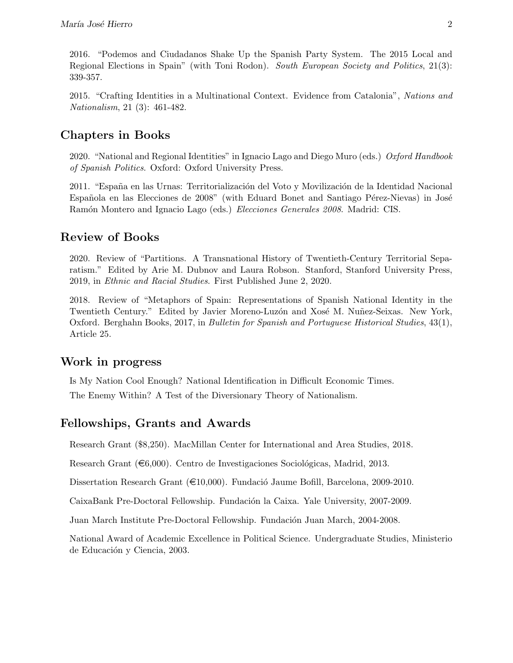2016. "Podemos and Ciudadanos Shake Up the Spanish Party System. The 2015 Local and Regional Elections in Spain" (with Toni Rodon). South European Society and Politics, 21(3): 339-357.

2015. "Crafting Identities in a Multinational Context. Evidence from Catalonia", Nations and Nationalism, 21 (3): 461-482.

# Chapters in Books

2020. "National and Regional Identities" in Ignacio Lago and Diego Muro (eds.) Oxford Handbook of Spanish Politics. Oxford: Oxford University Press.

2011. "España en las Urnas: Territorialización del Voto y Movilización de la Identidad Nacional Española en las Elecciones de 2008" (with Eduard Bonet and Santiago Pérez-Nievas) in José Ramón Montero and Ignacio Lago (eds.) *Elecciones Generales 2008*. Madrid: CIS.

# Review of Books

2020. Review of "Partitions. A Transnational History of Twentieth-Century Territorial Separatism." Edited by Arie M. Dubnov and Laura Robson. Stanford, Stanford University Press, 2019, in Ethnic and Racial Studies. First Published June 2, 2020.

2018. Review of "Metaphors of Spain: Representations of Spanish National Identity in the Twentieth Century." Edited by Javier Moreno-Luzón and Xosé M. Nuñez-Seixas. New York, Oxford. Berghahn Books, 2017, in Bulletin for Spanish and Portuguese Historical Studies, 43(1), Article 25.

# Work in progress

Is My Nation Cool Enough? National Identification in Difficult Economic Times. The Enemy Within? A Test of the Diversionary Theory of Nationalism.

# Fellowships, Grants and Awards

Research Grant (\$8,250). MacMillan Center for International and Area Studies, 2018.

Research Grant  $(\epsilon 6,000)$ . Centro de Investigaciones Sociológicas, Madrid, 2013.

Dissertation Research Grant  $(\text{\textsterling}10,000)$ . Fundació Jaume Bofill, Barcelona, 2009-2010.

CaixaBank Pre-Doctoral Fellowship. Fundación la Caixa. Yale University, 2007-2009.

Juan March Institute Pre-Doctoral Fellowship. Fundación Juan March, 2004-2008.

National Award of Academic Excellence in Political Science. Undergraduate Studies, Ministerio de Educación y Ciencia, 2003.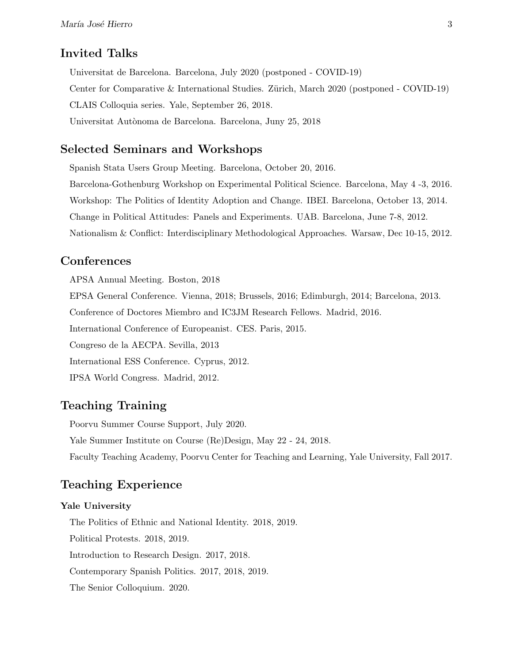### Invited Talks

Universitat de Barcelona. Barcelona, July 2020 (postponed - COVID-19) Center for Comparative & International Studies. Zürich, March 2020 (postponed - COVID-19) CLAIS Colloquia series. Yale, September 26, 2018. Universitat Autònoma de Barcelona. Barcelona, Juny 25, 2018

### Selected Seminars and Workshops

Spanish Stata Users Group Meeting. Barcelona, October 20, 2016. Barcelona-Gothenburg Workshop on Experimental Political Science. Barcelona, May 4 -3, 2016. Workshop: The Politics of Identity Adoption and Change. IBEI. Barcelona, October 13, 2014. Change in Political Attitudes: Panels and Experiments. UAB. Barcelona, June 7-8, 2012. Nationalism & Conflict: Interdisciplinary Methodological Approaches. Warsaw, Dec 10-15, 2012.

# **Conferences**

APSA Annual Meeting. Boston, 2018 EPSA General Conference. Vienna, 2018; Brussels, 2016; Edimburgh, 2014; Barcelona, 2013. Conference of Doctores Miembro and IC3JM Research Fellows. Madrid, 2016. International Conference of Europeanist. CES. Paris, 2015. Congreso de la AECPA. Sevilla, 2013 International ESS Conference. Cyprus, 2012. IPSA World Congress. Madrid, 2012.

# Teaching Training

Poorvu Summer Course Support, July 2020. Yale Summer Institute on Course (Re)Design, May 22 - 24, 2018. Faculty Teaching Academy, Poorvu Center for Teaching and Learning, Yale University, Fall 2017.

### Teaching Experience

#### Yale University

The Politics of Ethnic and National Identity. 2018, 2019. Political Protests. 2018, 2019. Introduction to Research Design. 2017, 2018. Contemporary Spanish Politics. 2017, 2018, 2019. The Senior Colloquium. 2020.